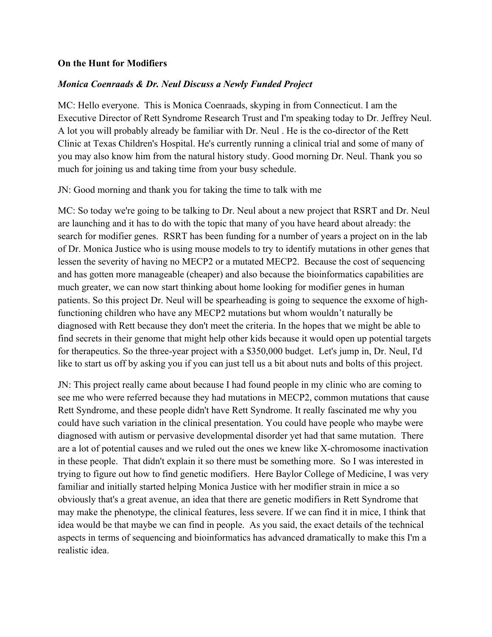## **On the Hunt for Modifiers**

## *Monica Coenraads & Dr. Neul Discuss a Newly Funded Project*

MC: Hello everyone. This is Monica Coenraads, skyping in from Connecticut. I am the Executive Director of Rett Syndrome Research Trust and I'm speaking today to Dr. Jeffrey Neul. A lot you will probably already be familiar with Dr. Neul . He is the co-director of the Rett Clinic at Texas Children's Hospital. He's currently running a clinical trial and some of many of you may also know him from the natural history study. Good morning Dr. Neul. Thank you so much for joining us and taking time from your busy schedule.

JN: Good morning and thank you for taking the time to talk with me

MC: So today we're going to be talking to Dr. Neul about a new project that RSRT and Dr. Neul are launching and it has to do with the topic that many of you have heard about already: the search for modifier genes. RSRT has been funding for a number of years a project on in the lab of Dr. Monica Justice who is using mouse models to try to identify mutations in other genes that lessen the severity of having no MECP2 or a mutated MECP2. Because the cost of sequencing and has gotten more manageable (cheaper) and also because the bioinformatics capabilities are much greater, we can now start thinking about home looking for modifier genes in human patients. So this project Dr. Neul will be spearheading is going to sequence the exxome of highfunctioning children who have any MECP2 mutations but whom wouldn't naturally be diagnosed with Rett because they don't meet the criteria. In the hopes that we might be able to find secrets in their genome that might help other kids because it would open up potential targets for therapeutics. So the three-year project with a \$350,000 budget. Let's jump in, Dr. Neul, I'd like to start us off by asking you if you can just tell us a bit about nuts and bolts of this project.

JN: This project really came about because I had found people in my clinic who are coming to see me who were referred because they had mutations in MECP2, common mutations that cause Rett Syndrome, and these people didn't have Rett Syndrome. It really fascinated me why you could have such variation in the clinical presentation. You could have people who maybe were diagnosed with autism or pervasive developmental disorder yet had that same mutation. There are a lot of potential causes and we ruled out the ones we knew like X-chromosome inactivation in these people. That didn't explain it so there must be something more. So I was interested in trying to figure out how to find genetic modifiers. Here Baylor College of Medicine, I was very familiar and initially started helping Monica Justice with her modifier strain in mice a so obviously that's a great avenue, an idea that there are genetic modifiers in Rett Syndrome that may make the phenotype, the clinical features, less severe. If we can find it in mice, I think that idea would be that maybe we can find in people. As you said, the exact details of the technical aspects in terms of sequencing and bioinformatics has advanced dramatically to make this I'm a realistic idea.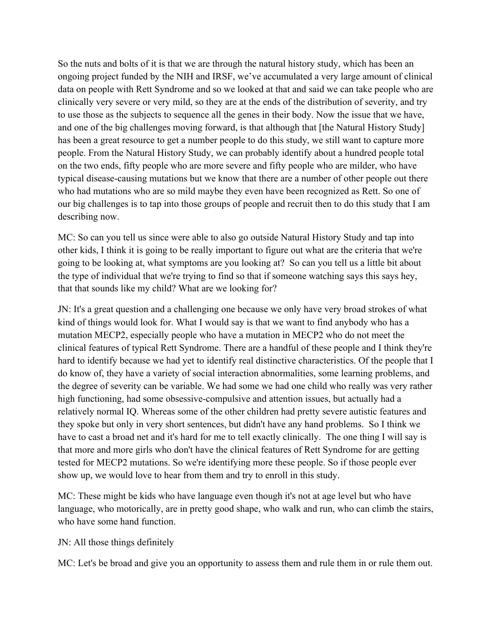So the nuts and bolts of it is that we are through the natural history study, which has been an ongoing project funded by the NIH and IRSF, we've accumulated a very large amount of clinical data on people with Rett Syndrome and so we looked at that and said we can take people who are clinically very severe or very mild, so they are at the ends of the distribution of severity, and try to use those as the subjects to sequence all the genes in their body. Now the issue that we have, and one of the big challenges moving forward, is that although that [the Natural History Study] has been a great resource to get a number people to do this study, we still want to capture more people. From the Natural History Study, we can probably identify about a hundred people total on the two ends, fifty people who are more severe and fifty people who are milder, who have typical disease-causing mutations but we know that there are a number of other people out there who had mutations who are so mild maybe they even have been recognized as Rett. So one of our big challenges is to tap into those groups of people and recruit then to do this study that I am describing now.

MC: So can you tell us since were able to also go outside Natural History Study and tap into other kids, I think it is going to be really important to figure out what are the criteria that we're going to be looking at, what symptoms are you looking at? So can you tell us a little bit about the type of individual that we're trying to find so that if someone watching says this says hey, that that sounds like my child? What are we looking for?

JN: It's a great question and a challenging one because we only have very broad strokes of what kind of things would look for. What I would say is that we want to find anybody who has a mutation MECP2, especially people who have a mutation in MECP2 who do not meet the clinical features of typical Rett Syndrome. There are a handful of these people and I think they're hard to identify because we had yet to identify real distinctive characteristics. Of the people that I do know of, they have a variety of social interaction abnormalities, some learning problems, and the degree of severity can be variable. We had some we had one child who really was very rather high functioning, had some obsessive-compulsive and attention issues, but actually had a relatively normal IQ. Whereas some of the other children had pretty severe autistic features and they spoke but only in very short sentences, but didn't have any hand problems. So I think we have to cast a broad net and it's hard for me to tell exactly clinically. The one thing I will say is that more and more girls who don't have the clinical features of Rett Syndrome for are getting tested for MECP2 mutations. So we're identifying more these people. So if those people ever show up, we would love to hear from them and try to enroll in this study.

MC: These might be kids who have language even though it's not at age level but who have language, who motorically, are in pretty good shape, who walk and run, who can climb the stairs, who have some hand function.

## JN: All those things definitely

MC: Let's be broad and give you an opportunity to assess them and rule them in or rule them out.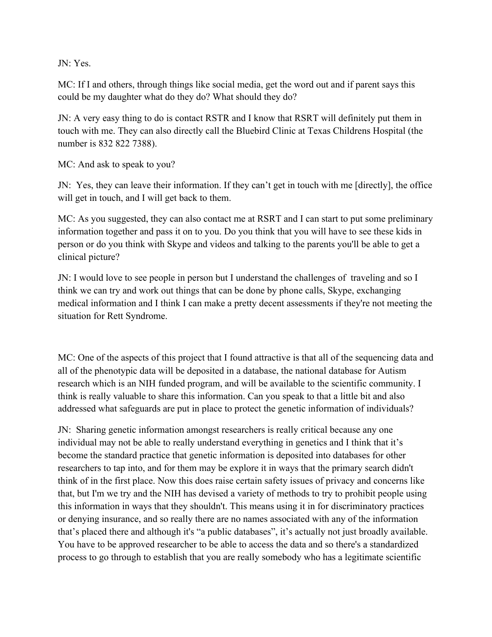JN: Yes.

MC: If I and others, through things like social media, get the word out and if parent says this could be my daughter what do they do? What should they do?

JN: A very easy thing to do is contact RSTR and I know that RSRT will definitely put them in touch with me. They can also directly call the Bluebird Clinic at Texas Childrens Hospital (the number is 832 822 7388).

MC: And ask to speak to you?

JN: Yes, they can leave their information. If they can't get in touch with me [directly], the office will get in touch, and I will get back to them.

MC: As you suggested, they can also contact me at RSRT and I can start to put some preliminary information together and pass it on to you. Do you think that you will have to see these kids in person or do you think with Skype and videos and talking to the parents you'll be able to get a clinical picture?

JN: I would love to see people in person but I understand the challenges of traveling and so I think we can try and work out things that can be done by phone calls, Skype, exchanging medical information and I think I can make a pretty decent assessments if they're not meeting the situation for Rett Syndrome.

MC: One of the aspects of this project that I found attractive is that all of the sequencing data and all of the phenotypic data will be deposited in a database, the national database for Autism research which is an NIH funded program, and will be available to the scientific community. I think is really valuable to share this information. Can you speak to that a little bit and also addressed what safeguards are put in place to protect the genetic information of individuals?

JN: Sharing genetic information amongst researchers is really critical because any one individual may not be able to really understand everything in genetics and I think that it's become the standard practice that genetic information is deposited into databases for other researchers to tap into, and for them may be explore it in ways that the primary search didn't think of in the first place. Now this does raise certain safety issues of privacy and concerns like that, but I'm we try and the NIH has devised a variety of methods to try to prohibit people using this information in ways that they shouldn't. This means using it in for discriminatory practices or denying insurance, and so really there are no names associated with any of the information that's placed there and although it's "a public databases", it's actually not just broadly available. You have to be approved researcher to be able to access the data and so there's a standardized process to go through to establish that you are really somebody who has a legitimate scientific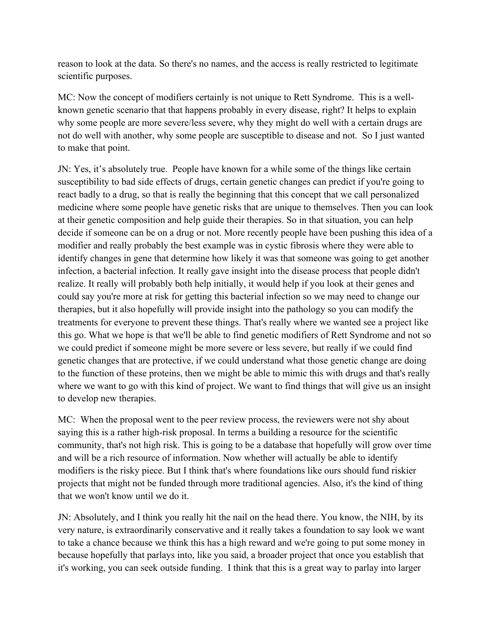reason to look at the data. So there's no names, and the access is really restricted to legitimate scientific purposes.

MC: Now the concept of modifiers certainly is not unique to Rett Syndrome. This is a wellknown genetic scenario that that happens probably in every disease, right? It helps to explain why some people are more severe/less severe, why they might do well with a certain drugs are not do well with another, why some people are susceptible to disease and not. So I just wanted to make that point.

JN: Yes, it's absolutely true. People have known for a while some of the things like certain susceptibility to bad side effects of drugs, certain genetic changes can predict if you're going to react badly to a drug, so that is really the beginning that this concept that we call personalized medicine where some people have genetic risks that are unique to themselves. Then you can look at their genetic composition and help guide their therapies. So in that situation, you can help decide if someone can be on a drug or not. More recently people have been pushing this idea of a modifier and really probably the best example was in cystic fibrosis where they were able to identify changes in gene that determine how likely it was that someone was going to get another infection, a bacterial infection. It really gave insight into the disease process that people didn't realize. It really will probably both help initially, it would help if you look at their genes and could say you're more at risk for getting this bacterial infection so we may need to change our therapies, but it also hopefully will provide insight into the pathology so you can modify the treatments for everyone to prevent these things. That's really where we wanted see a project like this go. What we hope is that we'll be able to find genetic modifiers of Rett Syndrome and not so we could predict if someone might be more severe or less severe, but really if we could find genetic changes that are protective, if we could understand what those genetic change are doing to the function of these proteins, then we might be able to mimic this with drugs and that's really where we want to go with this kind of project. We want to find things that will give us an insight to develop new therapies.

MC: When the proposal went to the peer review process, the reviewers were not shy about saying this is a rather high-risk proposal. In terms a building a resource for the scientific community, that's not high risk. This is going to be a database that hopefully will grow over time and will be a rich resource of information. Now whether will actually be able to identify modifiers is the risky piece. But I think that's where foundations like ours should fund riskier projects that might not be funded through more traditional agencies. Also, it's the kind of thing that we won't know until we do it.

JN: Absolutely, and I think you really hit the nail on the head there. You know, the NIH, by its very nature, is extraordinarily conservative and it really takes a foundation to say look we want to take a chance because we think this has a high reward and we're going to put some money in because hopefully that parlays into, like you said, a broader project that once you establish that it's working, you can seek outside funding. I think that this is a great way to parlay into larger